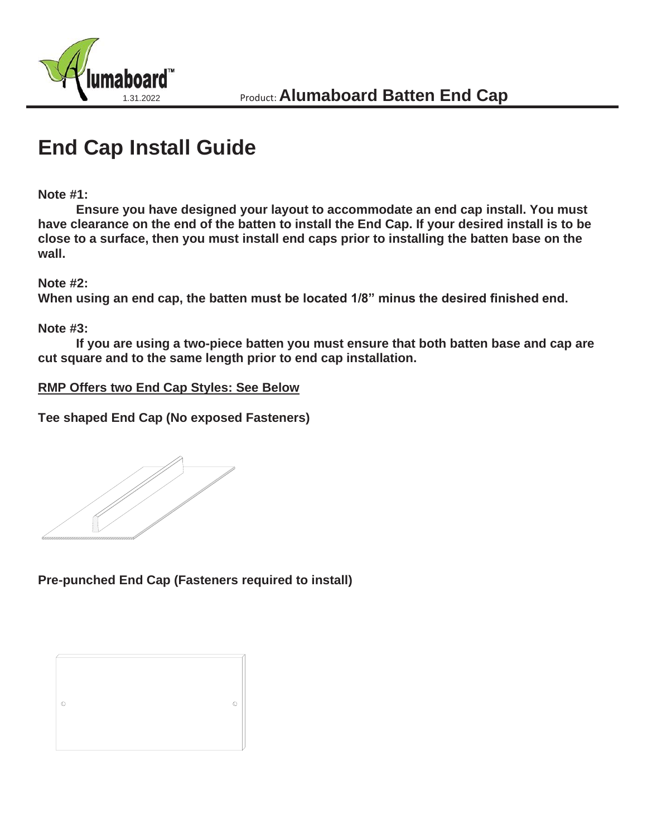

## **End Cap Install Guide**

**Note #1:**

**Ensure you have designed your layout to accommodate an end cap install. You must have clearance on the end of the batten to install the End Cap. If your desired install is to be close to a surface, then you must install end caps prior to installing the batten base on the wall.**

**Note #2:**

**When using an end cap, the batten must be located 1/8" minus the desired finished end.**

**Note #3:**

**If you are using a two-piece batten you must ensure that both batten base and cap are cut square and to the same length prior to end cap installation.**

**RMP Offers two End Cap Styles: See Below**

**Tee shaped End Cap (No exposed Fasteners)**



**Pre-punched End Cap (Fasteners required to install)**